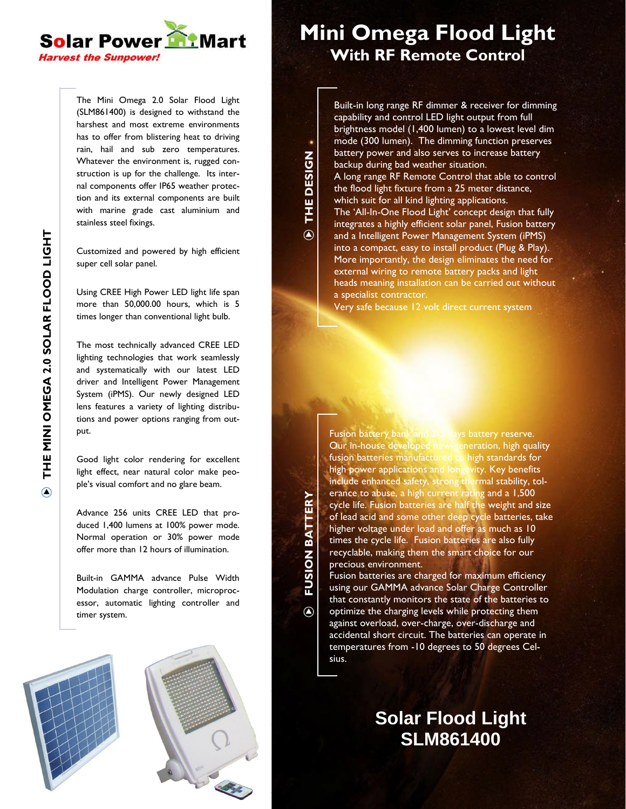

The Mini Omega 2.0 Solar Flood Light (SLM861400) is designed to withstand the harshest and most extreme environments has to offer from blistering heat to driving rain, hail and sub zero temperatures. Whatever the environment is, rugged construction is up for the challenge. Its internal components offer IP65 weather protection and its external components are built with marine grade cast aluminium and stainless steel fixings.

Customized and powered by high efficient super cell solar panel.

Using CREE High Power LED light life span more than 50,000.00 hours, which is 5 times longer than conventional light bulb.

The most technically advanced CREE LED lighting technologies that work seamlessly and systematically with our latest LED driver and Intelligent Power Management System (iPMS). Our newly designed LED lens features a variety of lighting distributions and power options ranging from output.

Good light color rendering for excellent light effect, near natural color make people's visual comfort and no glare beam.

Advance 256 units CREE LED that produced 1,400 lumens at 100% power mode. Normal operation or 30% power mode offer more than 12 hours of illumination.

Built-in GAMMA advance Pulse Width Modulation charge controller, microprocessor, automatic lighting controller and timer system.





## **Mini Omega Flood Light With RF Remote Control**

Built-in long range RF dimmer & receiver for dimming capability and control LED light output from full brightness model (1,400 lumen) to a lowest level dim mode (300 lumen). The dimming function preserves battery power and also serves to increase battery backup during bad weather situation. A long range RF Remote Control that able to control the flood light fixture from a 25 meter distance, which suit for all kind lighting applications. The 'All-In-One Flood Light' concept design that fully integrates a highly efficient solar panel, Fusion battery and a Intelligent Power Management System (iPMS) into a compact, easy to install product (Plug & Play). More importantly, the design eliminates the need for external wiring to remote battery packs and light heads meaning installation can be carried out without a specialist contractor.

**THE**

 $\overline{(\!\mathsf{A}\!)}$ 

**FUSIO N**

 $\odot$ 

**BATTERY**

**DESIG**

**N**

Very safe because 12 volt direct current system

Fusion battery bank and 2-5 days battery reserve. Our in-house developed new-generation, high quality fusion batteries manufactured to high standards for high power applications and longevity. Key benefits include enhanced safety, strong thermal stability, tolerance to abuse, a high current rating and a 1,500 cycle life. Fusion batteries are half the weight and size of lead acid and some other deep cycle batteries, take higher voltage under load and offer as much as 10 times the cycle life. Fusion batteries are also fully recyclable, making them the smart choice for our precious environment.

Fusion batteries are charged for maximum efficiency using our GAMMA advance Solar Charge Controller that constantly monitors the state of the batteries to optimize the charging levels while protecting them against overload, over-charge, over-discharge and accidental short circuit. The batteries can operate in temperatures from -10 degrees to 50 degrees Celsius.

## **Solar Flood Light SLM861400**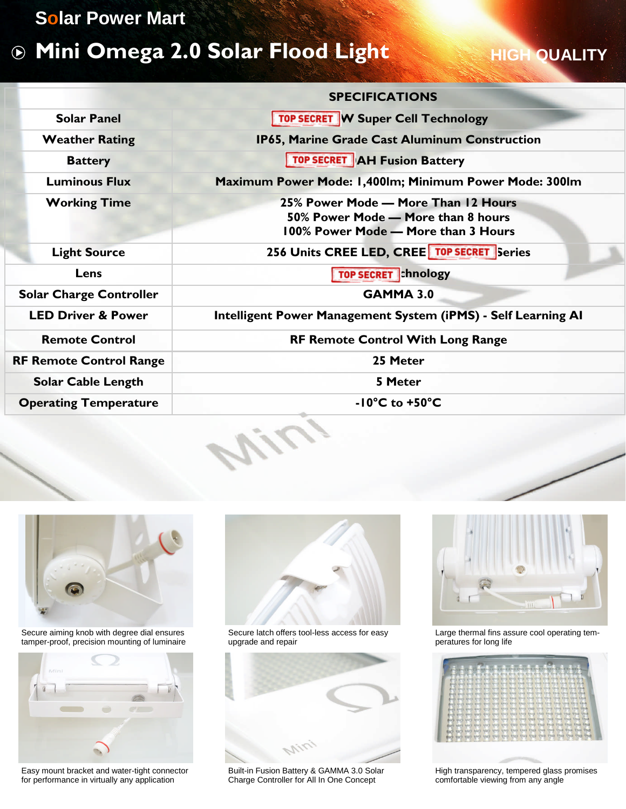#### **Solar Power Mart**

# **Mini Omega 2.0 Solar Flood Light**

### **HIGH QUALITY**

|                                | <b>SPECIFICATIONS</b>                                                                                            |
|--------------------------------|------------------------------------------------------------------------------------------------------------------|
| <b>Solar Panel</b>             | <b>TOP SECRET W Super Cell Technology</b>                                                                        |
| <b>Weather Rating</b>          | IP65, Marine Grade Cast Aluminum Construction                                                                    |
| <b>Battery</b>                 | <b>TOP SECRET AH Fusion Battery</b>                                                                              |
| <b>Luminous Flux</b>           | Maximum Power Mode: 1,400lm; Minimum Power Mode: 300lm                                                           |
| <b>Working Time</b>            | 25% Power Mode - More Than 12 Hours<br>50% Power Mode - More than 8 hours<br>100% Power Mode - More than 3 Hours |
| <b>Light Source</b>            | 256 Units CREE LED, CREE TOP SECRET Series                                                                       |
| Lens                           | <b>TOP SECRET</b> hnology                                                                                        |
| <b>Solar Charge Controller</b> | <b>GAMMA 3.0</b>                                                                                                 |
| <b>LED Driver &amp; Power</b>  | Intelligent Power Management System (iPMS) - Self Learning AI                                                    |
| <b>Remote Control</b>          | <b>RF Remote Control With Long Range</b>                                                                         |
| <b>RF Remote Control Range</b> | 25 Meter                                                                                                         |
| <b>Solar Cable Length</b>      | 5 Meter                                                                                                          |
| <b>Operating Temperature</b>   | $-10^{\circ}$ C to $+50^{\circ}$ C                                                                               |
|                                |                                                                                                                  |



Secure aiming knob with degree dial ensures tamper-proof, precision mounting of luminaire



Easy mount bracket and water-tight connector for performance in virtually any application



Secure latch offers tool-less access for easy upgrade and repair



Built-in Fusion Battery & GAMMA 3.0 Solar Charge Controller for All In One Concept



Large thermal fins assure cool operating temperatures for long life



High transparency, tempered glass promises comfortable viewing from any angle